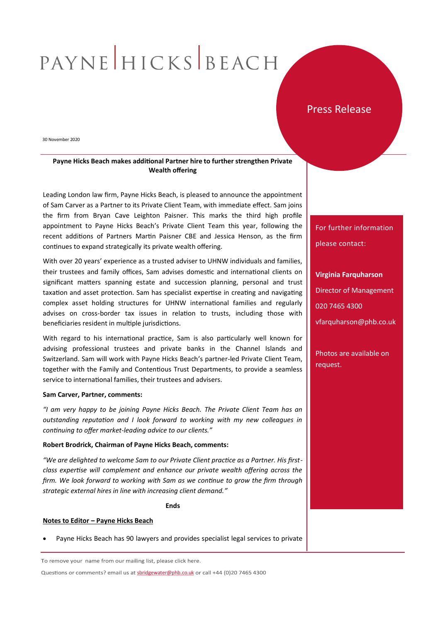# PAYNE HICKS BEACH

## Press Release

30 November 2020

## **Payne Hicks Beach makes additional Partner hire to further strengthen Private Wealth offering**

Leading London law firm, Payne Hicks Beach, is pleased to announce the appointment of Sam Carver as a Partner to its Private Client Team, with immediate effect. Sam joins the firm from Bryan Cave Leighton Paisner. This marks the third high profile appointment to Payne Hicks Beach's Private Client Team this year, following the recent additions of Partners Martin Paisner CBE and Jessica Henson, as the firm continues to expand strategically its private wealth offering.

With over 20 years' experience as a trusted adviser to UHNW individuals and families, their trustees and family offices, Sam advises domestic and international clients on significant matters spanning estate and succession planning, personal and trust taxation and asset protection. Sam has specialist expertise in creating and navigating complex asset holding structures for UHNW international families and regularly advises on cross-border tax issues in relation to trusts, including those with beneficiaries resident in multiple jurisdictions.

With regard to his international practice, Sam is also particularly well known for advising professional trustees and private banks in the Channel Islands and Switzerland. Sam will work with Payne Hicks Beach's partner-led Private Client Team, together with the Family and Contentious Trust Departments, to provide a seamless service to international families, their trustees and advisers.

#### **Sam Carver, Partner, comments:**

*"I am very happy to be joining Payne Hicks Beach. The Private Client Team has an outstanding reputation and I look forward to working with my new colleagues in continuing to offer market-leading advice to our clients."* 

### **Robert Brodrick, Chairman of Payne Hicks Beach, comments:**

*"We are delighted to welcome Sam to our Private Client practice as a Partner. His firstclass expertise will complement and enhance our private wealth offering across the firm. We look forward to working with Sam as we continue to grow the firm through strategic external hires in line with increasing client demand."*

**Ends**

### **Notes to Editor – Payne Hicks Beach**

Payne Hicks Beach has 90 lawyers and provides specialist legal services to private

To remove your name from our mailing list, please click here.

Questions or comments? email us at [sbridgewater@phb.co.uk](mailto:sbridgewater@phb.co.uk) or call +44 (0)20 7465 4300

For further information please contact:

**Virginia Farquharson** Director of Management 020 7465 4300 vfarquharson@phb.co.uk

Photos are available on request.